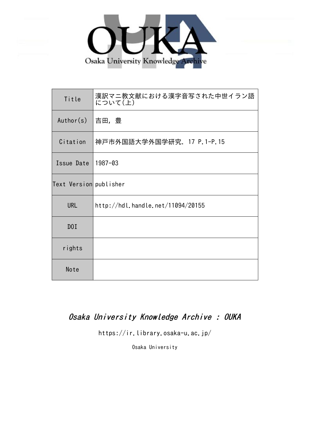

| Title                  | 漢訳マニ教文献における漢字音写された中世イラン語<br>について(上) |
|------------------------|-------------------------------------|
| Author(s)              | 吉田,豊                                |
| Citation               | 神戸市外国語大学外国学研究. 17 P.1-P.15          |
| Issue Date             | 1987-03                             |
| Text Version publisher |                                     |
| <b>URL</b>             | http://hdl.handle.net/11094/20155   |
| DOI                    |                                     |
| rights                 |                                     |
| Note                   |                                     |

## Osaka University Knowledge Archive : OUKA

https://ir.library.osaka-u.ac.jp/

Osaka University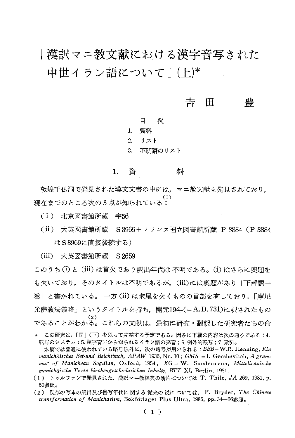# 「漢訳マニ教文献における漢字音写された 中世イラン語について | (上)\*

### 吉 兽 H

日 次

 $\mathbf{1}$ 資料

 $2^{+}$ リスト

 $3.$ 不明語のリスト

#### 資 料 1.

敦煌千仏洞で発見された漢文文書の中には、マニ教文献も発見されており, 現在までのところ次の3点が知られている:

(i) 北京図書館所蔵 宇56

(ii) 大英図書館所蔵 S3969+フランス国立図書館所蔵 P 3884 (P 3884 はS3969に直接後続する)

(iii) 大英図書館所蔵 S 2659

このうち(i)と(iii)は首欠であり訳出年代は不明である。(i)はさらに奥題を も欠いており、そのタイトルは不明であるが、(iii)には奥題があり「下部讃一 巻 | と書かれている。 一方 (ii) は末尾を欠くものの首部を有しており, 「摩尼 光佛教法儀略」というタイトルを持ち、開元19年(=A.D.731)に訳されたもの  $(2)$ であることがわかる。これらの文献は、最初に研究・翻訳した研究者たちの命

この研究は、「同」(下)を以って完結する予定である。因みに下編の内容は次の通りである:4. 転写のシステム;5.漢字音写から知られるイラン語の発音;6.例外的転写;7.索引。

本稿では普通に使われている略号以外に、次の略号が用いられる: BBB=W.B. Henning, Ein manichäisches Bet-und Beichtbuch, APAW 1936, Nr. 10; GMS = I. Gershevitch, A grammar of Manichean Sogdian, Oxford, 1954; KG = W. Sundermann, Mitteliranische manichäische Texte kirchengeschichtlichen Inhalts, BTT XI, Berlin, 1981.

<sup>(1)</sup> トゥルファンで発見された、漢訳マニ教経典の断片については T. Thilo, JA 269, 1981, p. 50参照。

<sup>(2)</sup> 現存の写本の訳出及び書写年代に関する従来の説については、 P. Bryder, The Chinese transformation of Manichaeism, Bokförlaget Plus Ultra, 1985, pp. 34-66参照。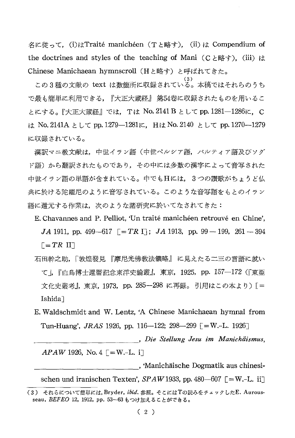名に従って、(i)はTraité manichéen (Tと略す), (ii)は Compendium of the doctrines and styles of the teaching of Mani (C  $\geq$   $\mathbb{R}$  +). (iii)  $\downarrow \uparrow$ Chinese Manichaean hymnscroll (Hと略す) と呼ばれてきた。

この3種の文献の text は数箇所に収録されている。本稿ではそれらのうち で最も簡単に利用できる,『大正大蔵経』 第54卷に収録されたものを用いるこ とにする。『大正大蔵経』では,Tは No.2141 B として pp.1281―1286に,C は No. 2141A として pp. 1279-1281に, Hは No. 2140 として pp. 1270-1279 に収録されている。

漢訳マニ教文献は、中世イラン語(中世ペルシア語、パルティア語及びソグ ド語)から翻訳されたものであり,その中には多数の漢字によって音写された 中世イラン語の単語が含まれている。中でもHには,3つの讃歌がちょうど仏 典に於ける陀羅尼のように音写されている。このような音写語をもとのイラン 語に還元する作業は、次のような諸研究に於いてなされてきた:

E. Chavannes and P. Pelliot, 'Un traité manichéen retrouvé en Chine', JA 1911, pp. 499-617  $[-TR I]$ ; JA 1913, pp. 99 - 199, 261 - 394  $\lceil = TR \rceil$ 

- 石田幹之助,「敦煌發見『摩尼光佛教法儀略』に見えたる二三の言語に就い て |, 『白鳥博士還暦記念東洋史論叢』, 東京, 1925, pp. 157-172 (『東亜 文化史叢考』, 東京, 1973, pp. 285-298 に再録。引用はこの本より)[= Ishida<sup>1</sup>
- E. Waldschmidt and W. Lentz, 'A Chinese Manichaean hymnal from Tun-Huang', *JRAS* 1926, pp. 116-122; 298-299  $\Gamma = W$ .-L. 1926

, Die Stellung Jesu im Manichäismus,  $APAW$  1926, No. 4  $\Gamma = W - L$ . i

, Manichaische Dogmatik aus chinesischen und iranischen Texten', SPAW 1933, pp. 480–607  $\lceil = W,-L, i\rceil$ (3) それらについて簡単には, Bryder, ibid. 参照。そこにはTの読みをチェックしたE. Aurous-

seau, BEFEO 12, 1912, pp. 53-63 もつけ加えることができる。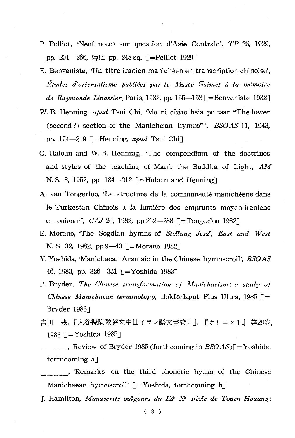- P. Pelliot, 'Neuf notes sur question d'Asie Centrale', TP 26, 1929, pp. 201-266, 特に pp. 248 sq. [=Pelliot 1929]
- E. Benveniste, 'Un titre iranien manichéen en transcription chinoise', Études d'orientalisme publiées par le Musée Guimet à la mémoire *de Raymonde Linossier*, Paris, 1932, pp. 155—158 [=Benveniste 1932]
- W.B. Henning, apud Tsui Chi, 'Mo ni chiao hsia pu tsan "The lower (second?) section of the Manichæan hymns"', BSOAS 11, 1943, pp. 174—219  $\lceil$  = Henning, apud Tsui Chi
- G. Haloun and W.B. Henning, 'The compendium of the doctrines and styles of the teaching of Mani, the Buddha of Light, AM N.S. 3, 1952, pp. 184-212 [=Haloun and Henning]
- A. van Tongerloo, 'La structure de la communauté manichéene dans le Turkestan Chinois à la lumière des emprunts moyen-iraniens en ouigour', CAJ 26, 1982, pp.262-288  $\Gamma$ = Tongerloo 1982
- E. Morano, 'The Sogdian hymns of Stellung Jesu', East and West N. S. 32, 1982, pp.9-43  $\Gamma$ =Morano 1982
- Y. Yoshida, 'Manichaean Aramaic in the Chinese hymnscroll', BSOAS 46, 1983, pp. 326-331 [=Yoshida 1983]
- P. Bryder, The Chinese transformation of Manichaeism: a study of Chinese Manichaean terminology, Bokförlaget Plus Ultra, 1985  $\Gamma$  = Bryder 1985
- 吉田 豊,「大谷探険隊将来中世イラン語文書管見」,『オリエント』 第28卷. 1985  $\sqrt{=}$  Yoshida 1985
- , Review of Bryder 1985 (forthcoming in  $BSOAS$ )[=Yoshida, forthcoming a]
- , Remarks on the third phonetic hymn of the Chinese Manichaean hymnscroll'  $\lceil = \text{Yoshida}$ , forthcoming b
- J. Hamilton, Manuscrits outgours du IX<sup>e</sup>-X<sup>e</sup> siècle de Touen-Houang: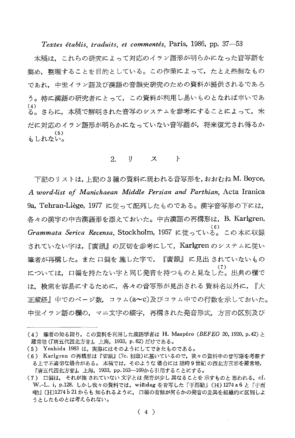Textes établis, traduits, et commentés, Paris, 1986, pp. 37-53

本稿は、これらの研究によって対応のイラン語形が明らかになった音写語を 集め、整理することを目的としている。この作業によって、たとえ些細なもの であれ、中世イラン語及び漢語の音韻史研究のための資料が提供されるであろ う。特に漢語の研究者にとって、この資料が利用し易いものとなれば幸いであ  $(4)$ る。さらに、本稿で解明された音写のシステムを参考にすることによって、未 だに対応のイラン語形が明らかになっていない音写語が,将来復元され得るか  $(5)$ もしれない。

#### 2. IJ. ス  $\mathbf{F}$

下記のリストは、上記の3種の資料に現われる音写形を、おおむね M. Boyce, A word-list of Manichaean Middle Persian and Parthian, Acta Iranica 9a, Tehran-Liège, 1977 に従って配列したものである。漢字音写形の下には, 各々の漢字の中古漢語形を添えておいた。中古漢語の再構形は、B. Karlgren, Grammata Serica Recensa, Stockholm, 1957 に従っている。この本に収録 されていたい字は、『廣韻』の反切を参考にして、Karlgren のシステムに従い 筆者が再構した。また 口徧を 施した字で, 『廣韻』 に見出 されていないもの については、口徧を持たない字と同じ発音を持つものと見なした。出典の欄で は,検索を容易にするために,各々の音写形が見出される 資料名以外に,『大 正蔵経』中でのページ数,コラム(a~c)及びコラム中での行数を示しておいた。 中世イラン語の欄の,マニ文字の綴字,再構された発音形式,方言の区別及び

<sup>(4)</sup> 筆者の知る限り, この資料を利用した漢語学者は H. Maspéro (BEFEO 20, 1920, p.42) と 羅常培(『唐五代西北方音』,上海, 1933, p. 62) だけである。

<sup>(5)</sup> Yoshida 1983 は、実際にはそのようにしてできたものである。

<sup>(6)</sup> Karlgren の再構形は『切韻』(7c. 初頭)に基いているので、我々の資料中の音写語を考察す る上で不適切な場合がある。本稿では、そのような 場合には 随時9世紀 の西北方言形を羅常培, 『唐五代西北方音』, 上海, 1933, pp.163-169から引用することにする。

<sup>(7)</sup> 口編は、それが施されていない文字とは発音が少し異なることを示すものと思われる。cf. W.-L. i, p.128. しかし我々の資料では, wižidag を音写した「于而勒」(H) 1274 a 6 と「于而 嘞」(H)1274b21からも知られるように、口徧の有無が何らかの発音の差異を組織的に区別しよ うとしたものとは考えられない。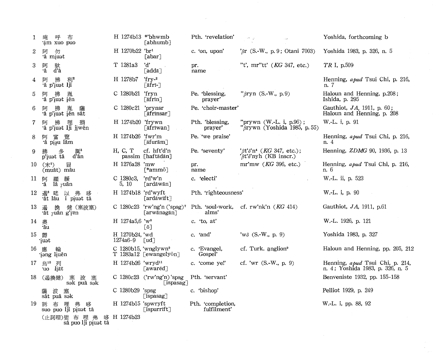| $\mathbf{1}$ | 唵<br>布<br>呼<br>am xuo puo                          | H 1274b13 *'bhwmb                  | [abhumb]                                                | Pth. 'revelation'                | $\mathcal{L}^{\bullet}=\mathcal{L}$                                        | Yoshida, forthcoming b                                              |
|--------------|----------------------------------------------------|------------------------------------|---------------------------------------------------------|----------------------------------|----------------------------------------------------------------------------|---------------------------------------------------------------------|
| 2            | 阿<br>勿<br>'â miuət                                 | H 1270b22 'br1                     | [abar]                                                  | c. 'on, upon'                    | ' $\beta$ r (S.-W., p. 9; Otani 7003)                                      | Yoshida 1983, p. 326, n. 5                                          |
| 3            | 阿<br>駄<br>ďà<br>٠â                                 | T 1281a3                           | 'd'<br>[addā]                                           | pr.<br>name                      | "t', $mr$ "tt' (KG 347, etc.)                                              | TR I, p.509                                                         |
| 4            | 拂<br>利2<br>阿<br>'â p'iuət lji                      | H 1278b7                           | $'rry-2$<br>∫āfri-                                      |                                  |                                                                            | Henning, apud Tsui Chi, p. 216,<br>n. 7                             |
| 5            | 阿<br>胤<br>挪<br>a p'iust jěn                        | C 1280b21 'fryn                    | [āfrīn]                                                 | Pe. blessing,<br>prayer'         | " $\beta$ ryn (S.-W., p.9)                                                 | Haloun and Henning, p.208;<br>Ishida, p. 295                        |
| 6            | 胤<br>薩<br>阿<br>'â p'iuat iěn sât                   | C 1280c21                          | 'prynsr<br>[afrinsar]                                   | Pe. 'choir-master'               |                                                                            | Gauthiot, JA, 1911, p. 60;<br>Haloun and Henning, p. 208            |
| 7            | 殞<br>βF∫<br>拂<br>興<br>a p'iuət lji jiwen           | H 1274b20 'frywn                   | [āfrīwan]                                               | Pth. 'blessing,<br>prayer'       | "prywn $(W.-L. i, p.96)$ ;<br>" $\delta$ rywn (Yoshida 1985, p. 55)        | W.-L. i, p. 91                                                      |
| 8            | 富<br>覽<br>阿<br>a pişu lâm                          | H 1274b26 'fwr'm                   | ⊺āfurām∃                                                | Pe. 'we praise'                  |                                                                            | Henning, apud Tsui Chi, p. 216,<br>n. 4                             |
| 9            | 誕8<br>d'ân<br>p'iust tâ                            | H, C, T                            | cf. hft'd'n<br>passim [haftādān]                        | Pe. 'seventy'                    | $\beta t \delta' n'$ (KG 347, etc.);<br>' <sub>B</sub> t's'nyh (KB inscr.) | Henning, <i>ZDMG</i> 90, 1936, p. 13                                |
| 10           | (末*)<br>冒<br>(muât) mâu                            | H 1276a28 'mw                      | $[*amm\bar{o}]$                                         | pr.<br>name                      | mr'mw $(KG 396, etc.)$                                                     | Henning, apud Tsui Chi, p. 216,<br>n. 6                             |
| 11           | 緩<br>阿<br>羅<br>$l\bar{a}$ $\gamma$ uân<br>٠ã       | $C_{1280c3}$<br>5, 10              | 'rd'w'n<br>[ardāwān]                                    | c. 'electi'                      |                                                                            | W.-L. ii, p. 523                                                    |
| $12^{\circ}$ | 遏<br>遏 <sup>6</sup> 咾 以 弗 哆<br>'ât lâu i pi̯uət tâ | H 1274b18 'rd'wyft                 | [ardāwīft]                                              | Pth. 'righteousness'             |                                                                            | W.-L. i, p. 90                                                      |
| 13           | 健 (塞波塞)<br>換<br>遏<br>at ruân g'ien                 |                                    | C 1280c23 'rw'ng'n ('spsg)'<br>[arwānagān]              | Pth. 'soul-work,<br>alms'        | cf. rw'nk'n $(KG 414)$                                                     | Gauthiot, JA, 1911, p.61                                            |
| 14           | 奥<br>'âu                                           | H 1274a5,6 'w <sup>8</sup>         | $\lbrack$ ō]                                            | c. 'to, at'                      |                                                                            | W.-L. 1926, p. 121                                                  |
| 15           | 欎<br>ʻiuət                                         | H 1270b24, 'wd<br>1274a6-9         | $\lceil ud \rceil$                                      | c. 'and'                         | 'wo $(S.-W., p. 9)$                                                        | Yoshida 1983, p. 327                                                |
| 16 應         | 輪<br>jəng liuěn                                    | C 1280b15, 'wnglywn $\mathfrak{g}$ | T 1283a12 [ewangelyon]                                  | c. 'Evangel,<br>Gospel'          | cf. Turk. anglion <sup>9</sup>                                             | Haloun and Henning, pp. 205, 212                                    |
| 17           | 烏 $10$<br>列<br>uo liät                             | H 1274b26 'wryd <sup>11</sup>      | [awarēd]                                                | c. 'come ye!'                    | cf. 'wr $(S.-W., p. 9)$                                                    | Henning, apud Tsui Chi, p. 214,<br>n. 4; Yoshida 1983, p. 326, n. 5 |
| 18           | (遏換健)<br>波<br>塞<br>塞<br>sək puâ sək                |                                    | C 1280c23 ('rw'ng'n) 'spsg<br>$\lceil$ ispasag $\rceil$ | Pth. 'servant'                   |                                                                            | Benveniste 1932, pp. 155-158                                        |
|              | 波<br>塞<br>隡<br>sât puâ sək                         | C 1280b29 'spsg                    | ⊺ispasag ∣                                              | c. 'bishop'                      |                                                                            | Pelliot 1929, p. 249                                                |
| 19           | 訴 布<br>哩<br>弗<br>哆<br>suo puo lji piuat tâ         | H 1274b15 'spwryft                 | ⊺ispurrīft⊺                                             | Pth. 'completion,<br>fulfilment' |                                                                            | W.-L. i, pp. 88, 92                                                 |
|              | (止訶哩)娑 布 哩 弗<br>sâ puo lji piuat tâ                | 哆 H 1274b23                        |                                                         |                                  |                                                                            |                                                                     |

 $\frac{1}{2} \frac{1}{2}$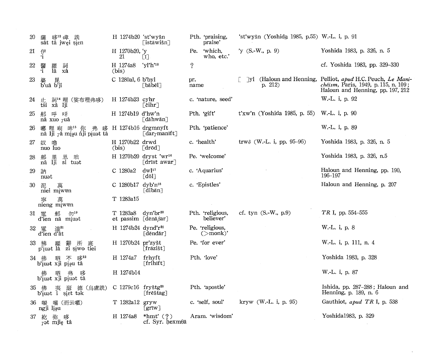| 20 | 哆12 嶂 詵<br>薩<br>sât tâ jwei sien                         | H 1274b20 'st'wyšn                                             | ∫istāwišn                                            | Pth. 'praising,<br>praise'             | 'st'wyšn (Yoshida 1985, p.55) W.-L. i, p. 91            |                                                                                                                                                               |
|----|----------------------------------------------------------|----------------------------------------------------------------|------------------------------------------------------|----------------------------------------|---------------------------------------------------------|---------------------------------------------------------------------------------------------------------------------------------------------------------------|
| 21 | 伊<br>·i                                                  | H 1270b20, 'y<br>21                                            | $\lceil i \rceil$                                    | Pe. 'which,<br>who, etc.'              | 'y (S.-W., p. 9)                                        | Yoshida 1983, p. 326, n. 5                                                                                                                                    |
| 22 | 醫·<br>1<br>訶<br>繀<br>1â<br>xâ                            | H 1274a8<br>(bis)                                              | "yl'h' <sup>13</sup>                                 | $\gamma$                               |                                                         | cf. Yoshida 1983, pp. 329-330                                                                                                                                 |
| 23 | 婆<br>b'uâ b'ji                                           | C 1280al, 6 b'byl                                              | ∣ bābēl                                              | pr.<br>name                            | p. 212)                                                 | $\lceil y \rceil$ (Haloun and Henning, Pelliot, apud H.C. Peuch, Le Mani-<br><i>chéism</i> , Paris, 1949, p. 115, n. 109;<br>Haloun and Henning, pp. 197, 212 |
| 24 | 止 詞 <sup>14</sup> 哩 (娑布哩弗哆)<br>tśi xâ lji                | $H$ 1274b23 cyhr                                               | ⊺čihr∃                                               | c. 'nature, seed'                      |                                                         | W.-L. i, p. 92                                                                                                                                                |
| 25 | 那 呼 咊<br>nâ xuo $\gamma$ uâ                              | H 1274b19 d'hw'n                                               | [dāhwān]                                             | Pth. 'gift'                            | t'xw'n (Yoshida 1985, p. 55) W.-L. i, p. 90             |                                                                                                                                                               |
| 26 | 哪哩响 哞15 你 弗<br>哆<br>nâ lji râ mişu nji piust tâ          | H 1274b16 drgmnyft                                             | $\lbrack \text{dar}_{\gamma}\text{manift}\rbrack$    | Pth. 'patience'                        |                                                         | W.-L. i, p. 89                                                                                                                                                |
| 27 | 奴 嚕<br>nuo luo                                           | H 1270b22 drwd<br>(bis)                                        | $\lceil \mathrm{d} \mathrm{r}$ ō $\mathrm{d} \rceil$ | c. 'health'                            | trw <sub><math>\delta</math></sub> (W.-L. i, pp. 95–96) | Yoshida 1983, p. 326, n. 5                                                                                                                                    |
| 28 | 那里思咄<br>nâ lji si tuət                                   |                                                                | H 1270b20 dryst 'wr <sup>16</sup><br>[drīst awar]    | Pe. 'welcome'                          |                                                         | Yoshida 1983, p. 326, n.5                                                                                                                                     |
| 29 | 訥<br>nuət                                                | C 1280a2                                                       | $dwl^{17}$<br>$\lceil d \bar{o} \rceil$              | c. 'Aquarius'                          |                                                         | Haloun and Henning, pp. 190,<br>196–197                                                                                                                       |
| 30 | 泥<br>萬<br>niei miwen                                     | C 1280b17 dyb'n <sup>18</sup>                                  | [dibān]                                              | c. 'Epistles'                          |                                                         | Haloun and Henning, p. 207                                                                                                                                    |
|    | 萬<br>靈<br>nieng miwen                                    | T 1283a15                                                      |                                                      |                                        |                                                         |                                                                                                                                                               |
|    | 31 電<br>船 勿 <sup>19</sup><br>d'ien nâ miu <sub>d</sub> t | $T 1283a8$ dyn'br <sup>20</sup><br>et passim [dēnā $\beta$ ar] |                                                      | Pth. 'religious,<br>believer'          | cf. tyn $(S.-W., p.9)$                                  | TR I, pp. 554-555                                                                                                                                             |
| 32 | 電 達 <sup>21</sup><br>d'ien d'ât                          | H 1274b24 dynd'r <sup>21</sup>                                 | [dēndār]                                             | Pe. 'religious,<br>$(\mathsf{>mark})'$ |                                                         | W.-L. i, p. 8                                                                                                                                                 |
| 33 | 辭<br>所<br>繀<br>厎<br>p'iust lâ zi șiwo tiei               | H 1270b24 pr'zyšt                                              | ∫frāzišt                                             | Pe. 'for ever'                         |                                                         | W.-L. i, p. 111, n. 4                                                                                                                                         |
|    | $13^{22}$<br>34 佛<br>呬<br>不<br>b'iust xji pişu tâ        | H 1274a7                                                       | frhyft<br>$\lceil$ frihīft $\rceil$                  | Pth. 'love'                            |                                                         | Yoshida 1983, p. 328                                                                                                                                          |
|    | 弗<br>陊<br>b'iuat xji piuat tâ                            | H 1274b14                                                      |                                                      |                                        |                                                         | W.-L. i, p. 87                                                                                                                                                |
| 35 | けいすい 夷の瑟(慮しく意識説)<br>b'i̯uət i si̯ɛt tək                  | C $1279c16$ fryštg <sup>23</sup>                               | [frēštag]                                            | Pth. 'apostle'                         |                                                         | Ishida, pp. 287–288; Haloun and<br>Henning, p. 189, n. 6                                                                                                      |
|    | ngji lişu                                                | T 1282a12 gryw                                                 | $\lceil \text{gr\textsf{IW}} \rceil$                 | c. 'self, soul'                        | kryw (W.-L. i, p. 95)                                   | Gauthiot, apud TR I, p. 538                                                                                                                                   |
| 37 | 紇 弥 哆<br>$\gamma$ ət mjiç tâ                             | H 1274a8                                                       | *hmt' $(?)$<br>$cf. Syr. hexm\theta\bar{a}$          | Aram. 'wisdom'                         |                                                         | Yoshida1983, p. 329                                                                                                                                           |

 $\sim$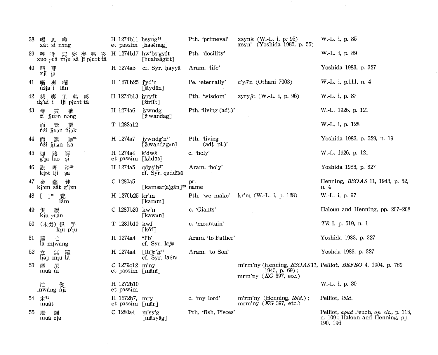| 38 | 喝<br>思<br>嚨<br>xât si nəng                          | $H$ 1274b11 hsyng <sup>24</sup>      | et passim [hasēnag]                                              | Pth. 'primeval'                     |                               | xsynk $(W-L. i, p. 95)$<br>xsyn' (Yoshida 1985, p. 55)       | W.-L. i, p. 85                                            |
|----|-----------------------------------------------------|--------------------------------------|------------------------------------------------------------------|-------------------------------------|-------------------------------|--------------------------------------------------------------|-----------------------------------------------------------|
| 39 | 呼 咊 無 娑 矣 弗 哆<br>xuo <i>r</i> uâ mịu sâ ji pịuət tâ |                                      | $H$ 1274b17 hw'bs'gyft<br>[huabsāgīft]                           | Pth. 'docility'                     |                               |                                                              | W.-L. i, p. 89                                            |
| 40 | 呬<br>耶<br>xji ja                                    | H 1274a5                             | cf. Syr. hayyā                                                   | Aram. 'life'                        |                               |                                                              | Yoshida 1983, p. 327                                      |
| 41 | 喏<br>夷<br>爛<br>nzia i lân                           | H 1270b25 j'yd'n                     | [Jāydān]                                                         | Pe. 'eternally'                     | c'y $\delta$ 'n (Othani 7003) |                                                              | W.-L. i, p.111, n. 4                                      |
| 42 | 喋 夷 里 弗 哆<br>dz'ai i lji pi̯uət tâ                  | H 1274b13 jyryft                     | $[\, \check{\rm z}\:\!\text{irift} \,]$                          | Pth. 'wisdom'                       |                               | zyry $\beta t$ (W.-L. i, p. 96)                              | W.-L. i, p. 87                                            |
| 43 | 雲<br>時<br>嚨<br><i>i</i> jiuan nang                  | H 1274a6                             | jywndg<br>[žīwandag]                                             | Pth. 'living (adj.)'                |                               |                                                              | W.-L. 1926, p. 121                                        |
|    | 暱<br>云<br>nzi jiuan niak                            | T 1282a12                            |                                                                  |                                     |                               |                                                              | W.-L. i, p. 128                                           |
| 44 | 咖25<br>雲<br>而<br>ńźi jiuon ka                       | H 1274a7                             | jywndg'n <sup>25</sup><br>[žīwandagān]                           | Pth. 'living<br>$\text{(adj. pl.)}$ |                               |                                                              | Yoshida 1983, p. 329, n. 19                               |
| 45 | 伽<br>路<br>師<br>si<br>g'ia luo                       | H 1274a4<br>et passim [kādūš]        | k'dwš                                                            | c. 'holy'                           |                               |                                                              | W.-L. 1926, p. 121                                        |
| 46 | 沙26<br>訖<br>哩<br>kiet lji<br>sa                     | H 1274a5                             | $qdy \xi' h^{27}$<br>cf. Syr. qaddīšā                            | Aram. 'holy'                        |                               |                                                              | Yoshida 1983, p. 327                                      |
| 47 | 健<br>金<br>薩<br>kiəm sât g'ien                       | C 1280a5                             | [kamsar(a)gān] <sup>28</sup>                                     | pr.<br>name                         |                               |                                                              | Henning, <i>BSOAS</i> 11, 1943, p. 52,<br>n. 4            |
|    | $7^{29}$<br>覽<br>lâm                                | H 1270b25 kr'm                       | [ˈkarām]                                                         | Pth. 'we make'                      |                               | kr'm (W.-L. i, p. 128)                                       | W.-L. i, p. 97                                            |
| 49 | 緩<br>kiu $r$ uân                                    | C 1280b20 kw'n                       | [kawān]                                                          | c. 'Giants'                         |                               |                                                              | Haloun and Henning, pp. 207-208                           |
| 50 | (未勞) 俱 孚<br>kiu p'iu                                | T 1281b10 kwf                        | $[\text{kõf}]$                                                   | c. 'mountain'                       |                               |                                                              | TR I, p. 519, n. 1                                        |
| 51 | 甿<br>羅<br>lâ miwang                                 | H 1274a4                             | *ľb'<br>cf. Syr. lāßā                                            | Aram. 'to Father'                   |                               |                                                              | Yoshida 1983, p. 327                                      |
| 52 |                                                     |                                      |                                                                  |                                     |                               |                                                              |                                                           |
|    | 立<br>羅<br>無<br>liap miu lâ                          | H 1274a4                             | $\lceil \text{lb}\rceil r^\prime h^{30}$<br>$cf. Syr. la\betara$ | Aram. 'to Son'                      |                               |                                                              | Yoshda 1983, p. 327                                       |
| 53 | 摩<br>muâ ni                                         | C $1279c12$ m'ny<br>et passim [mānī] |                                                                  |                                     |                               | $1943, p. 69$ ;<br>mrm'ny $(KG 397, etc.)$                   | m'rm'ny (Henning, BSOAS11, Pelliot, BEFEO 4, 1904, p. 760 |
|    | 忙<br>mwâng nji                                      | H 1272b10<br>et passim               |                                                                  |                                     |                               |                                                              | W.-L. i, p. 30                                            |
|    | 54 末81<br>muât                                      | H 1272b7, mry<br>et passim [mār]     |                                                                  | c. 'my lord'                        |                               | m'rm'ny (Henning, <i>ibid.</i> );<br>mrm'ny $(KG 397, etc.)$ | Pelliot, ibid.                                            |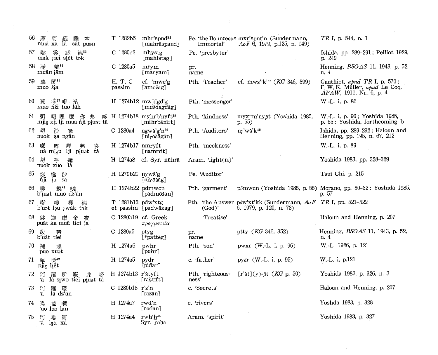| 56  | 摩<br>羅<br>訶<br>本<br>薩<br>muâ xâ lâ<br>sât puən            | T 1282b5                        | $mhr$ 'spnd <sup>32</sup><br>[mahräspand]          | Immortal'                 | Pe. 'the Bounteous mxr'spnt'n (Sundermann,<br>$AoF\,6$ , 1979, p.125, n. 149)            | TR I, p. 544, n. 1                                                                       |
|-----|-----------------------------------------------------------|---------------------------------|----------------------------------------------------|---------------------------|------------------------------------------------------------------------------------------|------------------------------------------------------------------------------------------|
| 57  | 德"<br>黙 奚 悉 德 $\frac{3}{2}$ mək $\gamma$ iei si̯ět tək    | C 1280c2                        | mhystg<br>[mahistag]                               | Pe. 'presbyter'           |                                                                                          | Ishida, pp. 289-291; Pelliot 1929,<br>p. 249                                             |
|     | 58 滿<br>艶34<br>muân jäm                                   | C 1280a5                        | mrym<br>$\lceil \text{maryam} \rceil$              | pr.<br>name               |                                                                                          | Henning, <i>BSOAS</i> 11, 1943, p. 52,<br>n. 4                                           |
| 59. | 慕<br>閣"<br>muo <i>'ia</i>                                 | H, T, C<br>passim               | cf. 'mwc'g<br>amōžāg]                              | Pth. Teacher'             | cf. mwz" $k^{36}$ ( <i>KG</i> 346, 399)                                                  | Gauthiot, apud TR I, p. 570;<br>F. W. K. Müller, apud Le Coq,<br>APAW, 1911, Nr. 6, p. 4 |
| 60. | 慕<br>嚅" 嘟<br>muo <i>ñzi</i> tuo lak                       | H 1274b12 mwjdgd'g              | $\lceil \text{mu} \angle \text{dagdag} \rceil$     | Pth. 'messenger'          |                                                                                          | W.-L. i, p. 86                                                                           |
|     | 弭 呬 哩 麼 你 弗 哆<br>mjig xji lji muâ ńji pi̯uət tâ<br>61 弭   |                                 | H 1274b18 myhrb'nyft <sup>38</sup><br>[mihrbānīft] | Pth. 'kindness'           | myxrm'ny ßt (Yoshida 1985,<br>p. 55)                                                     | W.-L. i, p. 90; Yoshida 1985,<br>p. 55; Yoshida, forthcoming b                           |
|     | 62 耨<br>沙<br>喭<br>nuok sa ngân                            | C 1280a4 ngwš'g'n <sup>39</sup> | [ni <sub>7</sub> õšāgān]                           | Pth. 'Auditors'           | $nf$ 'wš' $k40$                                                                          | Ishida, pp. 289-292; Haloun and<br>Henning, pp. 195, n. 67, 212                          |
| 63  | 哪<br>弗<br>哆<br>哞<br>1ji<br>piust tâ<br>nâ mịạu            | H 1274b17 nmryft                | $\lceil$ namrift $\rceil$                          | Pth. 'meekness'           |                                                                                          | W.-L. i, p. 89                                                                           |
|     | 64 耨<br>邏<br>呯<br>lâ<br>nuok xuo                          | H 1274a8                        | cf. Syr. nūhrā                                     | Aram. ' $light(n.)$ '     |                                                                                          | Yoshida 1983, pp. 328-329                                                                |
| 65  | 你<br>逾<br>沙<br>nji ju sa                                  | H 1279b21 nywš'g                | [niyōšāg]                                          | Pe. 'Auditor'             |                                                                                          | Tsui Chi, p. 215                                                                         |
| 66  | 摸41<br>啸<br>睦<br>b'iust muo dz'ân                         | H 1274b22 pdmwcn                | ⊺padmōžan]                                         | Pth. 'garment'            |                                                                                          | pômwcn (Yoshida 1985, p. 55) Morano, pp. 30-32; Yoshida 1985,<br>p. 57                   |
| 67  | 嘞<br>嘍<br>嚄<br>b'uet lạu $\gamma$ wâk tek                 | $T$ 1281b13 pdw'xtg             | et passim [padwāxag]                               | (God)'                    | Pth. 'the Answer pow'xt'kk (Sundermann, Ao F TR I, pp. 521-522<br>6, 1979, p. 120, n. 73 |                                                                                          |
|     | 迦摩<br>68 鉢<br>帝<br>夜<br>puât ka muâ tiei ja               | C 1280b19 cf. Greek             | πραγματεία                                         | 'Treatise'                |                                                                                          | Haloun and Henning, p. 207                                                               |
| 69. | 跋<br>帝<br>b'uât tiei                                      | C 1280a5                        | ptyg<br>[*patteg]                                  | pr.<br>name               | ptty (KG 346, 352)                                                                       | Henning, <i>BSOAS</i> 11, 1943, p. 52,<br>n. 4                                           |
| 70  | 補<br>忽<br>puo xuat                                        | H 1274a6                        | pwhr<br>$[$ puhr $]$                               | Pth. 'son'                | pwxr (W.-L. i, p. 96)                                                                    | W.-L. 1926, p. 121                                                                       |
| 71  | 1栗42<br>卑<br>pjie liět                                    | H 1274a5                        | pydr<br>[pidar]                                    | c. 'father'               | $py\delta r$ (W.-L. i, p. 95)                                                            | W.-L. i, p.121                                                                           |
| 72  | 阿<br>羅<br>弗<br>哆<br>所<br>厎<br>۰â<br>lâ șiwo tiei piust tâ | H 1274b13 r'štyft               | $\lceil$ rāštīft $\rceil$                          | Pth. 'righteous-<br>ness' | [r'št](y)- $\beta$ t ( <i>KG</i> p. 50)                                                  | Yoshida 1983, p. 326, n. 3                                                               |
| 73  | 瓚<br>阿<br>羅 瓚<br>lâ dz'ân<br>٠â                           | C 1280b18 r'z'n                 | ⊺räzān]                                            | c. 'Secrets'              |                                                                                          | Haloun and Henning, p. 207                                                               |
| 74  | 嗚<br>幱<br>嚧<br>'uo luo lan                                | H 1274a7                        | rwd'n<br>[rōdān]                                   | c. 'rivers'               |                                                                                          | Yoshda 1983, p. 328                                                                      |
| 75  | 阿<br>訶<br>嘍<br>۰â<br>ləu xâ                               | H 1274a4 rwh'h <sup>43</sup>    | Syr. rūhā                                          | Aram. 'spirit'            |                                                                                          | Yoshida 1983, p. 327                                                                     |

 $\label{eq:2} \frac{1}{\sqrt{2}}\int_{0}^{\infty}\frac{dx}{\sqrt{2\pi}}\,dx$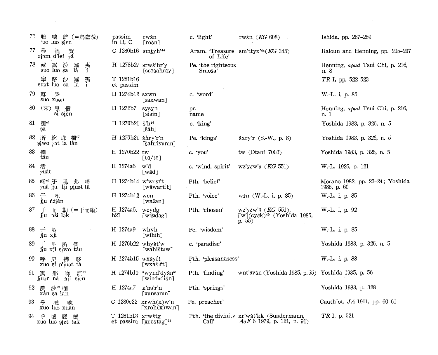| 76   | 嗚 噓 詵 (=烏盧詵)<br>'uo luo sien                         | passim<br>$\mathbf{in}$ H, C | rwšn<br>$[r\bar{o}\$ n]                              | c. 'light'                    | rwšn ( <i>KG</i> 608)                                                                                  | Ishida, pp. 287-289                               |
|------|------------------------------------------------------|------------------------------|------------------------------------------------------|-------------------------------|--------------------------------------------------------------------------------------------------------|---------------------------------------------------|
| 77   | 尋<br>提<br>賀<br>ziam d'iei $r\hat{a}$                 | C 1280b16 smtyh'44           |                                                      | of Life'                      | Aram. Treasure sm'ttyx' <sup>44</sup> (KG 345)                                                         | Haloun and Henning, pp. 205-207                   |
| 78   | 露 沙<br>穌<br>夷<br>1<br>羅<br>suo luo sa<br>lâ          | $H$ 1278b27 srwš'hr'y        | [ˈsrōšahrāy]                                         | Pe. 'the righteous<br>Sraoša' |                                                                                                        | Henning, apud Tsui Chi, p. 216,<br>n. 8           |
|      | 窣 路 沙 羅<br>suət luo ṣa lâ<br>夷<br>i                  | T 1281b16<br>et passim       |                                                      |                               |                                                                                                        | TR I, pp. 522-523                                 |
| 79   | 昏<br>蘇<br>suo xuan                                   | H 1274b12 sxwn               | [saxwan]                                             | c. 'word'                     |                                                                                                        | W.-L. i, p. 85                                    |
| 80   | (末)思<br>信<br>si siěn                                 | H 1272b7                     | sysyn<br>[sisin]                                     | pr.<br>name                   |                                                                                                        | Henning, apud Tsui Chi, p. 216,<br>n. 1           |
| 81   | 灑45<br>sa                                            | H 1270b21 š'h <sup>46</sup>  | [šāh]                                                | c. 'king'                     |                                                                                                        | Yoshida 1983, p. 326, n. 5                        |
|      | 82 所 紇 耶 幱"<br>siwo $\gamma$ <sup>3</sup> t ia lân   | H 1270b21 šhry'r'n           | [šahriyārān]                                         | Pe. 'kings'                   | $\text{Sxry'r}$ (S.-W., p. 8)                                                                          | Yoshida 1983, p. 326, n. 5                        |
| 83   | 倒<br>tâu                                             | H 1270b22 tw                 | [tū/tō]                                              | c. 'you'                      | tw (Otani $7003$ )                                                                                     | Yoshida 1983, p. 326, n. 5                        |
| 84   | 活<br>$\gamma$ uât                                    | H 1274a6                     | w'd<br>[wād]                                         | c. 'wind, spirit'             | $wz'y\delta w'\delta$ ( <i>KG</i> 551)                                                                 | W.-L. 1926, p. 121                                |
| 85.  | 耒48 于<br>里<br>弗<br>陊<br>$\gamma$ uâ jiu lji piuat tâ | $H$ 1274b14 w'wryft          | wāwarīft                                             | Pth. 'belief'                 |                                                                                                        | Morano 1982, pp. $23-24$ ; Yoshida<br>1985, p. 60 |
| 86   | 于<br>嗯<br>jiu nźjěn                                  | H 1274b12 wcn                | [wažan]                                              | Pth. 'voice'                  | wžn (W.-L. i, p. 85)                                                                                   | W.-L. i, p. 85                                    |
| 87   | 于 而 勒 (=于而嘞)<br>jiu nái l <sub>ak</sub>              | H 1274a6,<br>b21             | wcydg<br>∫wīžīdag]                                   | Pth. 'chosen'                 | wz'yow'o (KG 551),<br>$\left[\text{w}\right]$ (cy $\delta$ k) <sup>49</sup> (Yoshida 1985,<br>p. $55)$ | W.-L. i, p. 92                                    |
| 88   | 于 四<br>jiu xji                                       | H 1274a9                     | whyh<br>[wihīh]                                      | Pe. 'wisdom'                  |                                                                                                        | W.-L. i, p. 85                                    |
| 89   | 于<br>呬<br>所<br>倒<br>jiu xji siwo tâu                 | H 1270b22 whyšťw             | [wahištāw]                                           | c. 'paradise'                 |                                                                                                        | Yoshida 1983, p. 326, n. 5                        |
| 90   | 史<br>拂<br>陊<br>呼<br>xuo si p'iuat tâ                 | H 1274b15 wxšyft             | [wxašīft]                                            | Pth. 'pleasantness'           |                                                                                                        | W.-L. i, p. 88                                    |
| 91 雲 | 詵50<br>咻<br>邢<br>jiuan nâ nji șien                   |                              | H 1274b19 *wynd'dyšn51<br>[windadišn]                | Pth. 'finding'                | wnt'ðyšn (Yoshida 1985, p. 55) Yoshida 1985, p. 56                                                     |                                                   |
|      | 92 漢 沙52 曬<br>xân șa lân                             | H 1274a7                     | x'ns'r'n<br>[xānsārān]                               | Pth. 'springs'                |                                                                                                        | Yoshida 1983, p. 328                              |
| 93   | 呼<br>嚧<br>喚<br>xuo luo xuân                          |                              | C 1280c22 $x rwh(x)w'n$<br>$\lfloor$ xrōh $(x)$ wān] | Pe. preacher'                 |                                                                                                        | Gauthiot, $JA$ 1911, pp. 60-61                    |
| 94   | 嚧瑟<br>呼<br>德<br>xuo luo sist tak                     | T 1281b13 xrwštg             | et passim [xrōštag] <sup>53</sup>                    | Call'                         | Pth. 'the divinity xr'wšt'kk (Sundermann,<br>$AoF 6 1979$ , p. 121, n. 91)                             | TR I, p. 521                                      |
|      |                                                      |                              |                                                      |                               |                                                                                                        |                                                   |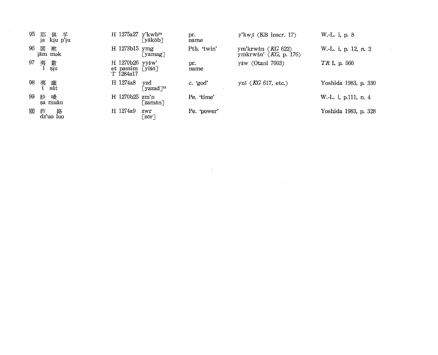| 95  | 耶<br>俱 孚<br>kiu p'iu<br>ia     | H 1275a27 y'kwb54<br>[yākōb]                                 | pr.<br>name | $y'kw\beta$ (KB inscr. 17)                     | W.-L. i, p. 8        |
|-----|--------------------------------|--------------------------------------------------------------|-------------|------------------------------------------------|----------------------|
| 96  | 閻<br>黙<br>iäm m <sub>a</sub> k | H 1273b15 ymg<br>⊤yamag∏                                     | Pth. 'twin' | ym'krwšn $(KG 622)$<br>ymkrwšn' $(KG, p. 176)$ | W.-L. i, p. 12, n. 2 |
|     | 97 夷<br>i<br>數<br>siu          | H 1270b26 yyšw'<br>$et$ passim [yiš $\bar{o}$ ]<br>T 1284a17 | pr.<br>name | yšw (Otani 7003)                               | TR I, p. 566         |
| 98  | 夷<br>薩<br>sât                  | H 1274a8<br>yzd<br>$\zeta$ yazad $\zeta$ <sup>55</sup>       | c. 'god'    | yz $\delta$ (KG 617, etc.)                     | Yoshida 1983, p. 330 |
| 99  | 紗<br>幔<br>sa muân              | $H$ 1270b25 $zm'n$<br>[ˈzamān]                               | Pe. 'time'  |                                                | W.-L. i, p.111, n. 4 |
| 100 | 祚<br>dz'uo luo                 | H 1274a9<br>zwr<br>$\lceil z \bar{c} r \rceil$               | Pe. 'power' |                                                | Yoshida 1983, p. 328 |

 $\mathcal{L}^{\text{max}}_{\text{max}}$  and  $\mathcal{L}^{\text{max}}_{\text{max}}$ 

the contract of the contract of the contract of

 $\sim 10^{11}$ 

 $\sim 10^{11}$  km s  $^{-1}$ 

 $\mathcal{L}(\mathcal{L}(\mathcal{L}(\mathcal{L}(\mathcal{L}(\mathcal{L}(\mathcal{L}(\mathcal{L}(\mathcal{L}(\mathcal{L}(\mathcal{L}(\mathcal{L}(\mathcal{L}(\mathcal{L}(\mathcal{L}(\mathcal{L}(\mathcal{L}(\mathcal{L}(\mathcal{L}(\mathcal{L}(\mathcal{L}(\mathcal{L}(\mathcal{L}(\mathcal{L}(\mathcal{L}(\mathcal{L}(\mathcal{L}(\mathcal{L}(\mathcal{L}(\mathcal{L}(\mathcal{L}(\mathcal{L}(\mathcal{L}(\mathcal{L}(\mathcal{L}(\mathcal{L}(\mathcal{$ 

 $\sim 10^{11}$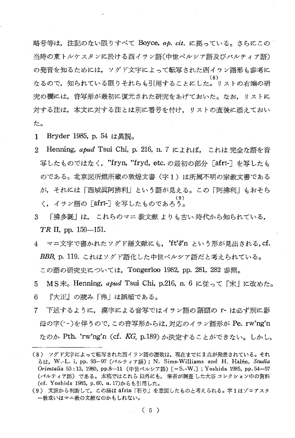略号等は、注記のない限りすべて Boyce, op. cit. に拠っている。さらにこの 当時の東トルケスタンに於ける西イラン語(中世ペルシア語及びパルティア語) の発音を知るためには、ソグド文字によって転写された西イラン語形も参考に なるので、知られている限りそれらも引用することにした。リストの右端の研 究の欄には、音写形が最初に復元された研究をあげておいた。なお、リストに 対する注は、本文に対する注とは別に番号を付け、リストの直後に添えておい た。

- Bryder 1985, p. 54 は異説。  $\mathbf{1}$
- Henning, apud Tsui Chi, p. 216, n. 7 によれば. これは 完全な語を音  $2^{\circ}$ 写したものではなく、"fryn, "fryd, etc.の最初の部分「afri-] を写したも のである。北京図所館所蔵の敦煌文書(字1)は所属不明の宗教文書である が、それには「西域眞阿拂利」という語が見える。この「阿拂利」もおそら く.イラン語の「āfrī-]を写したものであろう。
- $\mathbf{3}$ 「拂多誕」は, これらのマニ 教文献 よりも古い 時代から知られている. TR II, pp.  $150-151$ .
- 4 マニ文字で書かれたソグド語文献にも、'ft'o'n という形が見出される.cf. BBB、p. 119. これはソグド語化した中世ペルシア語だと考えられている。 この語の研究史については、Tongerloo 1982, pp. 281, 282 参照。
- MS未。Henning, apud Tsui Chi, p.216, n. 6 に従って「末」に改めた。 5 『大正』の読み「弗」は誤植である。 6
- 7 下述するように, 漢字による音写ではイラン語の語頭の r- は必ず別に影 母の字(·-)を伴うので、この音写形からは、対応のイラン語形が Pe. rw'ng'n なのか Pth. 'rw'ng'n (cf. KG, p.189) か決定することができない。しかし.

<sup>(8)</sup> ソグド文字によって転写された西イラン語の讃歌は、現在までに3点が発表されている。それ らは, W.-L. i, pp. 93-97 (パルティア語); N. Sims-Williams and H. Halén, Studia Orientalia 53:13, 1980, pp.8-11 (中世ペルシア語) [=S.-W.]; Yoshida 1985, pp. 54-57 (パルティア語) である。本稿ではこれら 以外にも、筆者が調査 した大谷 コレクション中の資料 (cf. Yoshida 1985, p. 60, n. 17)からも引用した。

<sup>(9)</sup> 文脈から判断して、この語は āfrin「祈り」を意図したものと考えられる。字1はゾロアスタ 一教或いはマニ教の文献なのかもしれない。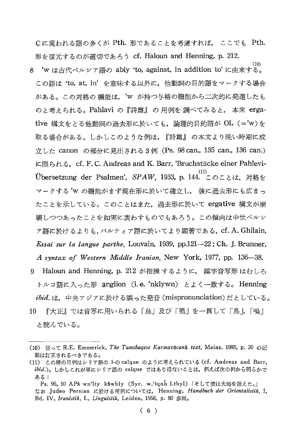Cに現われる語の多くが Pth. 形であることを考慮すれば, ここでも Pth. 形を復元するのが適切であろう cf. Haloun and Henning, p. 212.

 $(10)$ 'w は古代ペルシア語の abiy 'to, against, in addition to' に由来する。 8. この語は 'to, at, in' を意味する以外に, 他動詞の目的語をマークする場合 がある。この対格の機能は、'w が持つ与格の機能から二次的に発達したも のと考えられる。Pahlavi の『詩篇』の用例を調べてみると、本来 ergative 構文をとる他動詞の過去形に於いても、論理的目的語が OL (='w)を 取る場合がある。しかしこのような例は、『詩篇』の本文より晩い時期に成 立した canon の部分に見出される 3 例 (Ps. 98 can., 135 can., 136 can.) に限られる, cf. F. C. Andreas and K. Barr, 'Bruchstücke einer Pahlevi-Übersetzung der Psalmen', SPAW, 1933, p. 144. このことは、対格を マークする'w の機能がまず現在形に於いて確立し、 後に過去形にも広まっ たことを示している。このことはまた,過去形に於いて ergative 構文が崩 壊しつつあったことを如実に表わすものでもあろう。この傾向は中世ペルシ ァ語に於けるよりも,パルティア語に於いてより顕著である, cf. A. Ghilain, Essai sur la langue parthe, Louvain, 1939, pp.121-22; Ch. J. Brunner, A syntax of Western Middle Iranian, New York, 1977, pp. 136–38. 9 Haloun and Henning, p. 212 が指摘するように、 漢字音写形 はむしろ トルコ語に入った形 anglion (i.e. 'nklywn) とよく一致する。 Henning

ibid.は、中央アジアに於ける誤った発音 (mispronunciation) だとしている。

『大正』では音写に用いられる「烏」及び「嗚」を一貫して「鳥」「嗚」 10 と読んでいる。

<sup>(10)</sup> 従って R.E. Emmerick, The Tumshuqese Karmavācanā text, Mainz, 1985, p. 20 の記 載は訂正されるべきである。

<sup>(11)</sup> この種の用例はシリア語の 1-の calque のように考えられている (cf. Andreas and Barr, ibid.)。しかしこれが単にシリア語の calque ではあり得ないことは、例えば次の例から明らかで ある:

Ps. 96, 10 APš wn'lty kšwbly (Syr. w.'tqnh l.tbyl) 「そして彼は大地を据えた。」

なお Judeo Persian に於ける用例については、 Henning, Handbuch der Orientalistik, I, Bd. IV, Iranistik, I., Linguistik, Leiden, 1958, p. 80 参照。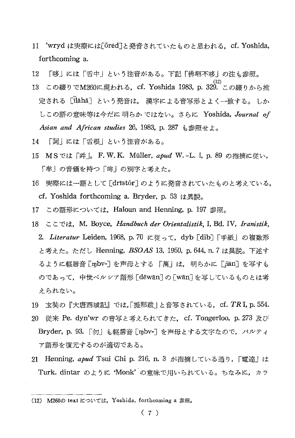- $11$ 'wryd は実際には[ōrēd]と発音されていたものと思われる. cf. Yoshida, forthcoming a.
- 12 「哆」には「舌中」という注音がある。下記「佛呬不哆」の注も参照。
- 13 この綴りでM260に現われる, cf. Yoshida 1983, p. 329. この綴りから推 定される [ilaha] という発音は、 漢字による音写形とよく一致する。 しか しこの語の意味等は今だに明らかではない。さらに Yoshida, Journal of Asian and African studies 26, 1983, p. 287 小参照せよ。
- 「訶」には「舌根」という注音がある。 14
- 15 MSでは「吽」。F.W.K. Müller, apud W.-L. i, p. 89 の指摘に従い, 「牟」の音価を持つ「哞」の別字と考えた。
- 16 実際には一語として [dristōr] のように発音されていたものと考えている, cf. Yoshida forthcoming a. Bryder, p. 53 は異説。
- 17 この語形については、Haloun and Henning, p. 197 参照。
- 18  $\subset \subset \subset \forall$ t, M. Boyce, Handbuch der Orientalistik, I, Bd. IV, Iranistik, 2. Literatur Leiden, 1968, p.70 に従って. dyb [dib] 「手紙」の複数形 と考えた。ただし Henning, BSOAS 13, 1950, p. 644, n. 7 は異説。下述す るように軽唇音 [mbv-] を声母とする 「萬」は、明らかに「βān] を写すも のであって、中世ペルシア語形 [dēwān] の [wān] を写しているものとは考 えられない。
- 19 玄奘の『大唐西域記』では,「提那跋 | と音写されている,cf. TR I, p. 554. 20 従来 Pe. dyn'wr の音写と考えられてきた,cf. Tongerloo,p.273 及び Bryder, p. 93. 「勿」も軽唇音 [mbv-] を声母とする文字なので, パルティ ア語形を復元するのが適切である。
- 21 Henning, apud Tsui Chi p. 216, n. 3 が指摘している通り, 「電達」は Turk. dintar のように 'Monk' の意味で用いられている。ちなみに、カラ

<sup>(12)</sup> M260の text については、Yoshida, forthcoming a 参照。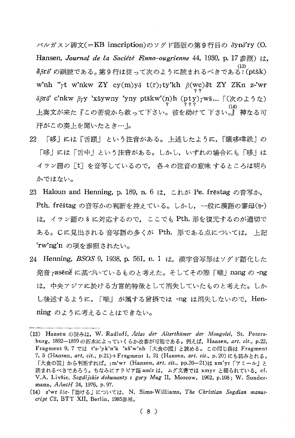バルガスン碑文(=KB inscription)のソグド語版の第9行目の δyno'ry (O. Hansen, Journal de la Société Finno-ougrienne 44, 1930, p. 17参照) は、  $\delta$ βr $\delta$ ' の誤読である。第9行は従って次のように読まれるべきである: (ptšk) w'nh "rt w'nkw ZY cy(m)yo t(r)rty'kh  $\beta$ (wc)ot ZY ZKn z-'wr δβrδ' c'nkw βγy 'xšywny 'yny ptškw'(p)h (pty)γwš...  $\lceil$ (χολδ' τ) 汗がこの奏上を聞いたとき… |。

- $22.$ 「哆」には「舌頭」という注音がある。上述したように、「薩哆喡詵」の 「哆」には「舌中」という注音がある。しかし,いずれの場合にも「哆」は イラン語の[t]を音写しているので, 各々の注音の意味 するところは明ら かではない。
- 23 Haloun and Henning, p. 189, n. 6 は、これが Pe. frestag の音写か, Pth. freštag の音写かの判断を控えている。しかし、一般に漢語の審母(\$-) は、イラン語の & に対応するので、 ここでも Pth. 形を復元するのが適切で ある。Cに見出される 音写語の多くが Pth. 形である点については, 上記 'rw'ng'n の項を参照されたい。
- 24 Henning, BSOS 9, 1938, p. 561, n. 1 は、漢字音写形はソグド語化した 発音 rasēne に基づいているものと考えた。そしてその際「嚨」nang の-ng は、中央アジアに於ける方言的特徴として消失していたものと考えた。しか し後述するように,「嚨」が属する曾摂では -ng は消失しないので,Henning のように考えることはできない。

<sup>(13)</sup> Hansen の読みは, W. Radloff, Atlas der Alterthümer der Mongolei, St. Petersburg, 1892-1899 の拓本によっていくらか改善が可能である。例えば、Hansen, art. cit., p.22, Fragment 9, 7 では t'z-'yk'n'k 'xš'w'nh 「大食の国」と読める。 この同じ語は Fragment 7, 5 (Hansen, art, cit., p.21)+Fragment 1, 21 (Hansen, art. cit., p.20)にも読みとれる。 「大食の国」から判断すれば、rm'wr (Hansen, art. cit., pp.20-21)は xm'yr 「アミール」と 読まれるべきであろう。ちなみにアラビア語 amir は、 ムグ文書では xmyr と綴られている, cf. V.A. Livšic, Sogdijskie dokumenty s gory Mug II, Moscow, 1962, p.108; W. Sundermann, AAntH 24, 1976, p. 97.

<sup>(14)</sup> z'wr δβr- [助ける] については, N. Sims-Williams, The Christian Sogdian manuscript  $C2$ , BTT XII, Berlin, 1985 $\otimes \mathbb{R}$ .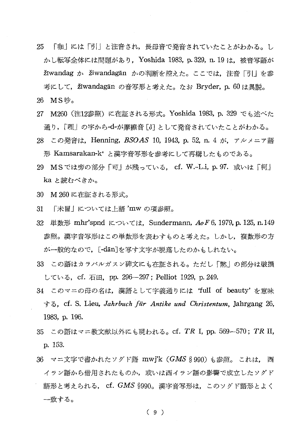- 25 「咖」には「引」と注音され,長母音で発音されていたことがわかる。し かし転写全体には間題があり. Yoshida 1983, p.329, n.19 は. 被音写語が žīwandag ゕ žīwandagān ゕの判断を控えた。ここでは、注音「引」を参 考にして、Žiwandagan の音写形と考えた。なお Bryder, p. 60 は異説。
- 26 MS吵。
- 27 M260 (注12参照) に在証される形式。Yoshida 1983, p. 329 でも述べた 通り、「哩」の字から-d-が摩擦音「ôl として発音されていたことがわかる。
- 28 この発音は、Henning, BSOAS 10, 1943, p. 52, n. 4 が、アルメニア語 形 Kamsarakan-k' と漢字音写形を参考にして再構したものである。
- 29 MSでは旁の部分「可」が残っている. cf. W.-L.i, p. 97. 或いは「柯」 ka と読むべきか。
- 30 M260に在証される形式。
- 31 「未冒|については上語 'mw の項参照。
- 32 単数形 mhr'spnd については、Sundermann, AoF 6, 1979, p. 125, n. 149 参照。漢字音写形はこの単数形を表わすものと考えた。しかし、複数形の方 が一般的なので、「-dān]を写す文字が脱落したのかもしれない。
- 33 この語はカラバルガスン碑文にも在証される。ただし「黙」の部分は破損 している, cf. 石田, pp. 296-297; Pelliot 1929, p. 249.
- 34 このマニの母の名は、漢語として字義通りには 'full of beauty' を意味 する, cf. S. Lieu, Jahrbuch für Antike und Christentum, Jahrgang 26, 1983, p. 196.
- 35 この語はマニ教文献以外にも現われる。cf. TR I, pp. 569-570; TR II, p. 153.
- 36 マニ文字で書かれたソグド語 mwj'k (GMS § 990) も参照。 これは. 西 イラン語から借用されたものか、或いは西イラン語の影響で成立したソグド 語形と考えられる, cf. GMS §990。漢字音写形は、このソグド語形とよく 一致する。

 $(9)$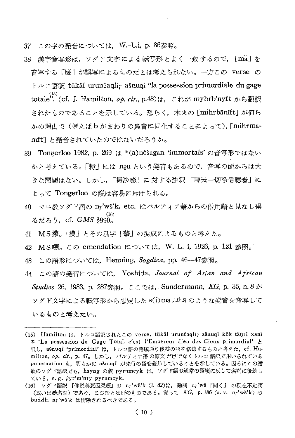- 37 この字の発音については. W.-L.i, p. 86参照。
- 38 漢字音写形は. ソグド文字による転写形とよく一致するので, [mã]を 音写する「麼」が誤写によるものだとは考えられない。一方この verse の トルコ語訳 tükäl urunčagli $\gamma$  ašnugi "la possession primordiale du gage totale", (cf. J. Hamilton, *op. cit.*, p.48)は, これが myhrb'nyft から翻訳 されたものであることを示している。恐らく、本来の [mihrbānīft] が何ら かの理由で(例えばbがまわりの鼻音に同化することによって), [mihrmanift] と発音されていたのではないだろうか。
- 39 Tongerloo 1982, p. 269 は \*(a)nōšāgān 'immortals' の音写形ではない かと考えている。「耨」には nou という発音もあるので、音写の面からは大 きな問題はない。しかし、「耨沙喭」に対する注釈 「譯云一切浄信聽者」に よって Tongerloo の説は容易に斥けられる。
- 40 マニ教ソグド語の nr'wš'k, etc. はパルティア語からの借用語と見なし得 るだろう、cf.  $GMS$  \$990.
- 41 MS攥。「摸」とその別字「摹」の混成によるものと考えた。
- MS嘌。この emendation については, W.-L. i, 1926, p. 121 参照。  $42<sup>°</sup>$
- この語形については、Henning, Sogdica, pp. 46-47参照。 43
- 44 この語の発音については、 Yoshida, Journal of Asian and African Studies 26, 1983, p. 287参照。ここでは, Sundermann, KG, p. 35, n. 8 が ソグド文字による転写形から想定した S(1)mattihā のような発音を音写して いるものと考えたい。

<sup>(15)</sup> Hamilton は、トルコ語訳されたこの verse, tükäl urunčaqliy ašnuqi kök tänri xani を 'La possession du Gage Total, c'est l'Empereur dieu des Cieux primordial' と 訳し、ašnuqi 'primordial' は、トルコ語の語順通り後続の語を修飾するものと考えた、cf. Hamilton, op. cit., p. 47。しかし、 パルティア語 の原文 だけでなくトルコ 語訳で用いられている punctuation も、明らかに ašnuqi が先行の語を修飾していることを示している。因みにこの讃 歌のソグド語訳でも、hsyng の訳 pyrnmcyk は、ソグド語の通常の語順に反して名詞に後続し ている, e.g.  $\beta$ yr'm'nty pyrnmcyk.

<sup>(16)</sup> ソグド語訳 『佛説善悪因果經』の nr'wš'k (1.82)は, 動詞 nr'wš「聞く」 の現在不定詞 (或いは動名詞) であり, この語とは別のものである。従って KG, p.186 (s. v. nr'wš'k) の buddh. nr'wš'k は削除されるべきである。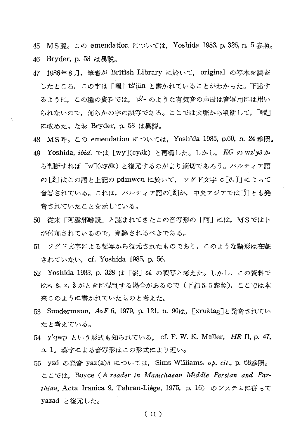45 MS麗。この emendation については、Yoshida 1983, p. 326, n. 5 参照。 46 Bryder, p. 53 は異説。

- 47 1986年8月, 筆者が British Library に於いて, original の写本を調査 したところ,この字は「曬」ts'iän と書かれていることがわかった。下述す るように,この種の資料では, tś'- のような有気音の声母は音写用には用い られないので,何らかの字の誤写である。ここでは文脈から判断して,「曬」 に改めた。なお Bryder, p. 53 は異説。
- 48 MS呼。この emendation については、Yoshida 1985, p.60, n. 24 参照。
- 49 Yoshida, ibid. では [wy](cyok) と再構した。しかし, KG の wz'yo か ら判断すれば [w](cyok) と復元するのがより適切であろう。パルティア語 の [ž] はこの語と上記の pdmwcn に於いて, ソグド文字 c[č, j] によって 音写されている。これは,パルティア語の[2]が,中央アジアでは[J]とも発 音されていたことを示している。
- 50 従来「阿雲船咻詵」と読まれてきたこの音写形の「阿」には. MSでは卜 が付加されているので、削除されるべきである。
- 51 ソグド文字による転写から復元されたものであり、このような語形は在証 されていない, cf. Yoshida 1985, p. 56.
- 52 Yoshida 1983, p. 328 は「娑」sâ の誤写と考えた。しかし, この資料で はs, š, z, ž がときに混乱する場合があるので (下記5.5参照), ここでは本 来このように書かれていたものと考えた。
- 53 Sundermann, AoF 6, 1979, p. 121, n. 90は, [xruštag]と発音されてい たと考えている。
- 54 y'qwp という形式も知られている. cf. F. W. K. Müller, HR II, p. 47, n. 1。 漢字による音写形はこの形式により近い。
- 55 yzd の発音 yaz(a) については、Sims-Williams, op. cit., p. 68参照。 ここでは、Boyce (A reader in Manichaean Middle Persian and Parthian, Acta Iranica 9, Tehran-Liège, 1975, p. 16) のシステムに従って yazad と復元した。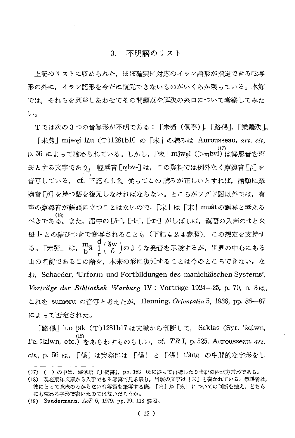## 3. 不明語のリスト

上記のリストに収められた,ほぼ確実に対応のイラン語形が指定できる転写 形の外に、イラン語形を今だに復元できないものがいくらか残っている。本節 では、それらを列挙しあわせてその問題点や解決の糸口について考察してみた  $\mathbf{b}$ 

Tでは次の3つの音写形が不明である:「未勞 (俱孚)」[路傷].「業羅決]。

「未勞」mjwei lâu (T)1281b10 の「未」の読みは Aurousseau, art. cit, p.56 によって確められている。しかし、「未」mjwei (>mbvi)は軽唇音を声 母とする文字であり、 軽唇音「mbv-]は、この資料では例外なく摩擦音「β]を 音写している、 cf. 下記4.1.2。従ってこの読みが正しいとすれば、語頭に摩 擦音「6] を持つ語を復元しなければならない。ところがソグド語以外では、有 声の摩擦音が語頭に立つことはないので、「未」は「末」muâtの誤写と考える べきである。また,語中の[ð-], [-1-], [-г-] がしばしば,漢語の入声の-tと来 母 1- との結びつきで音写されることも (下記4.2.4 参照), この想定を支持す る。「末勞」は、 $\frac{m}{b^a} \frac{d}{l} (\frac{\breve{a}w}{\breve{o}})$ のような発音を示唆するが、世界の中心にある 山の名前であるこの語を、本来の形に復元することは今のところできない。な お Schaeder, Urform und Fortbildungen des manichäischen Systems', Vorträge der Bibliothek Warburg IV: Vorträge 1924-25, p. 70, n. 3は, これを sumeru の音写と考えたが, Henning, Orientalia 5, 1936, pp. 86-87 によって否定された。

「路傷」 luo jäk (T) 1281b17 は文脈から判断して、 Saklas (Syr. 'šqlwn, (19)<br>Pe. šklwn, etc.) をあらわすものらしい, cf. TRI, p. 525. Aurousseau, art. cit., p. 56 は, 「傷」は実際には 「傷」 と 「傷」 t'âng の中間的な字形をし

<sup>(17) ()</sup>の中は、羅常培『上掲書』、pp. 163–68に従って再構した9世紀の西北方言形である。

<sup>(18)</sup> 現在東洋文庫から入手できる写真で見る限り、当該の文字は「未」と書かれている。筆耕者は, 彼にとって意味のわからない音写語を筆写する際、「末」か「未」についての判断を控え、どちら にも読める字形で書いたのではないだろうか。

<sup>(19)</sup> Sundermann, AoF 6, 1979, pp. 99, 118 参照。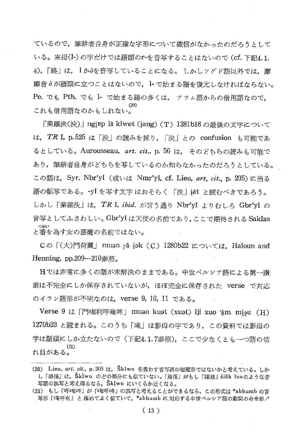ているので、筆耕者自身が正確な字形について確信がなかったのだろうとして いる。来母(l-)の字だけでは語頭のr-を音写することはないので (cf. 下記4.1. 4),「路」は、1かるを音写していることになる。 しかしソグド語以外では、摩 擦音∂が語頭に立つことはないので、1- で始まる語を復元しなければならない。 Pe. でも Pth. でも 1- で始まる語の多くは、 アラム語からの借用語なので, これも借用語なのかもしれない。

「業羅決(泱)」ngiɐp lâ kiwet (iang) (T) 1281b18 の最後の文字について は, TR I, p.525 は「泱」の読みを採り, 「決」との confusion も可能であ るとしている。Aurousseau, art. cit., p. 56 は、 そのどちらの読みも可能で あり,筆耕者自身がどちらを写しているのか知らなかったのだろうとしている。 この語は、Syr. Nbr'yl (或いは Nmr'yl, cf. Lieu, art, cit., p. 205)に当る 語の転写である。-yl を写す文字 はおそらく 「泆」iět と読むべきであろう。 しかし「業羅泆」は, TR I, ibid. が言う通り Nbr'yl よりむしろ Gbr'yl の 音写としてふさわしい。Gbr'yl は天使の名前であり、ここで期待される Saklas つがい と番を為す女の悪魔の名前ではない。

Cの「(大)門荷翼 | muən râ jək (C) 1280b22 については. Haloun and Henning,  $pp.209 - 210$ 参照。

Hでは非常に多くの語が未解決のままである。中世ペルシア語による第一讃 歌は不完全にしか保存されていないが、ほぼ完全に保存された verse で対応 のイラン語形が不明なのは, verse 9, 10, 11 である。

Verse 9 は 「門・屈利呼唵哞」 muən kuət (xuət) lii xuo ·âm miəu (H) 1270b23 と読まれる。このうち「唵」は影母の字であり、この資料では影母の 字は語頭にしか立たないので(下記4.1.7参照),ここで少なくとも一つ語の切 れ目がある。

<sup>(20)</sup> Lieu, art. cit., p. 205 は、 Sklwn を表わす音写語の短縮形ではないかと考えている。しか し「路傷」は、Šklwn のどの部分にも似ていない。「路傷」がもし「賜路」śiäk luoのような音 写語の誤写と考え得るなら、Šklwn にいくらか近くなる。

<sup>(21)</sup> もし「呼唵哞」が「唵呼哞」の誤写と考えることができるなら、この形式は \*abhumb の音 写形「唵呼布」と極めてよく似ていて、\*abhumbに対応する中世ペルシア語の動詞の命令形ノ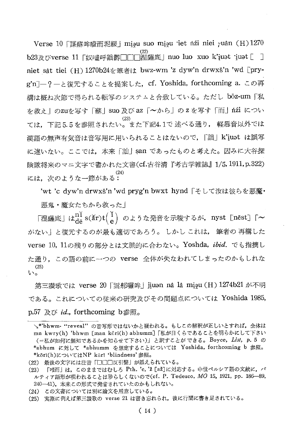Verse 10 「謀蘇哞曀而坭緩 | miau suo miau jet n'ai niei  $\gamma$ uân (H) 1270 b23及びverse 11 「奴嚧呼詘欝□□□涅薩底」 nuo luo xuo k'iuat iuat [ ] niet sât tiei (H) 1270b24を筆者は bwz-wm 'z dyw'n drwxš'n 'wd [pryg'n]-?-と復元することを提案した, cf. Yoshida, forthcoming a. この再 構は概ね次節で得られる転写のシステムと合致している。ただし bōz-um「私 を救え」のzuを写す「蘇」Suo 及び az 「~から」の z を写す「而」nízi につい ては、下記5.5を参照されたい。また下記4.1で 述べる通り、 軽唇音以外では 漢語の無声有気音は音写用に用いられることはないので、「詘」k'iuat は誤写 に違いない。ここでは,本来「訕」\$an であったものと考えた。因みに大谷探 険隊将来のマニ文字で書かれた文書(cf.古谷清『考古学雑誌』1/5,1911,p.322) vzu, 次のような一節がある:

'wt 'c dyw'n drwxš'n 'wd pryg'n bwxt hynd 「そして汝は彼らを悪魔· 悪鬼・魔女たちから救った|

「涅薩底」は $n_{{\rm d}s}^{{\rm n}\vphantom{1}}$  s(ăr)t $\binom{\vphantom{1}\vphantom{1}}{2}$  のような発音を示唆するが,nyst [nēst] [~ がない」と復元するのが最も適切であろう。 しかし これは、 筆者の 再構した verse 10. 11の残りの部分とは文脈的に合わない。Yoshda, ibid. でも指摘し た通り、この語の前に一つの verse 全体が失なわれてしまったのかもしれな  $(25)$ い。

第三譖歌では verse 20 「雲部囉哞」 jiuən nâ lâ miəu (H) 1274b21 が不明 である。これについての従来の研究及びその問題点については Yoshida 1985, p.57 及び *id*., forthcoming b参照。

(24) この文書については別に論文を用意している。

<sup>√\*&#</sup>x27;bhwm- "reveal"の音写形ではないかと疑われる。もしこの解釈が正しいとすれば、全体は mn kwry(h) 'bhwm [man köri(h) abhumm] [私が目くらであることを明らかにして下さい (=私が如何に無知であるかを知らせて下さい)」と訳すことができる。Boyce, List, p. 5 の \*abhum に対して \*abhumm を想定することについては Yoshida, forthcoming b 参照。 \*kōri(h)についてはNP kūrī 'blindness'参照。

<sup>(22)</sup> 最後の文字には注音「□□□反引聲」が添えられている。

<sup>(23) 「</sup>嘖而」は、このままではむしろ Pth. 'c, 'ž [až]に対応する。中世ペルシア語の文献に, パ ルティア語形が現われることは珍らしくないので(cf. P. Tedesco, MO 15, 1921, pp. 186-89, 240-41), 本来この形式で発音されていたのかもしれない。

<sup>(25)</sup> 実際に例えば第三讃歌の verse 21 は書き忘れられ, 後に行間に書き足されている。